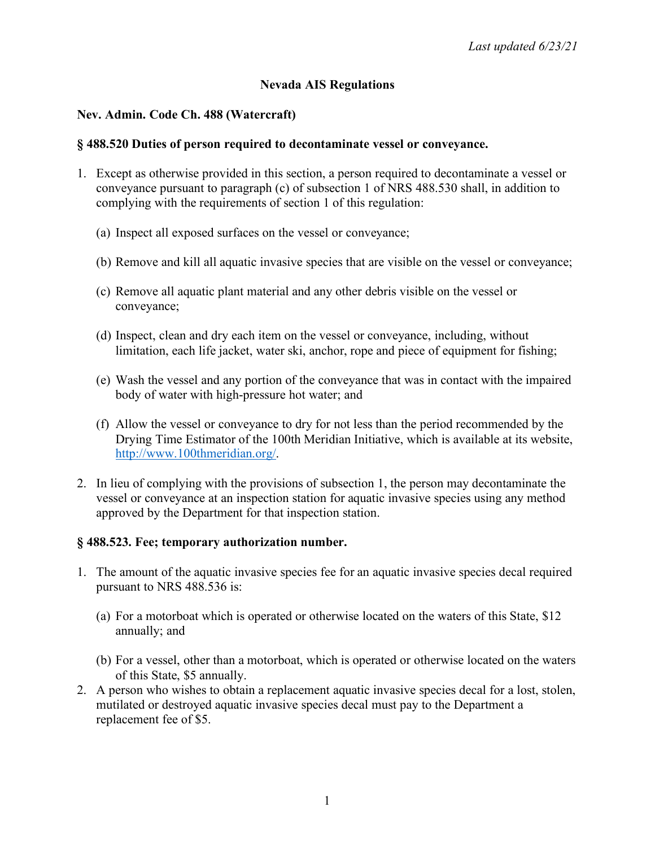# **Nevada AIS Regulations**

## **Nev. Admin. Code Ch. 488 (Watercraft)**

### **§ 488.520 Duties of person required to decontaminate vessel or conveyance.**

- 1. Except as otherwise provided in this section, a person required to decontaminate a vessel or conveyance pursuant to paragraph (c) of subsection 1 of NRS 488.530 shall, in addition to complying with the requirements of section 1 of this regulation:
	- (a) Inspect all exposed surfaces on the vessel or conveyance;
	- (b) Remove and kill all aquatic invasive species that are visible on the vessel or conveyance;
	- (c) Remove all aquatic plant material and any other debris visible on the vessel or conveyance;
	- (d) Inspect, clean and dry each item on the vessel or conveyance, including, without limitation, each life jacket, water ski, anchor, rope and piece of equipment for fishing;
	- (e) Wash the vessel and any portion of the conveyance that was in contact with the impaired body of water with high-pressure hot water; and
	- (f) Allow the vessel or conveyance to dry for not less than the period recommended by the Drying Time Estimator of the 100th Meridian Initiative, which is available at its website, http://www.100thmeridian.org/.
- 2. In lieu of complying with the provisions of subsection 1, the person may decontaminate the vessel or conveyance at an inspection station for aquatic invasive species using any method approved by the Department for that inspection station.

## **§ 488.523. Fee; temporary authorization number.**

- 1. The amount of the aquatic invasive species fee for an aquatic invasive species decal required pursuant to NRS 488.536 is:
	- (a) For a motorboat which is operated or otherwise located on the waters of this State, \$12 annually; and
	- (b) For a vessel, other than a motorboat, which is operated or otherwise located on the waters of this State, \$5 annually.
- 2. A person who wishes to obtain a replacement aquatic invasive species decal for a lost, stolen, mutilated or destroyed aquatic invasive species decal must pay to the Department a replacement fee of \$5.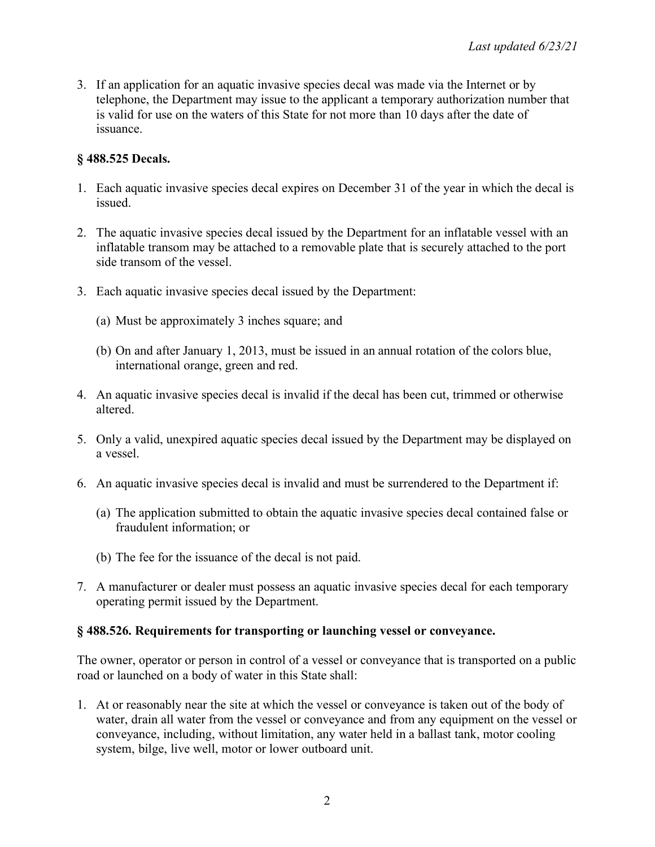3. If an application for an aquatic invasive species decal was made via the Internet or by telephone, the Department may issue to the applicant a temporary authorization number that is valid for use on the waters of this State for not more than 10 days after the date of issuance.

### **§ 488.525 Decals.**

- 1. Each aquatic invasive species decal expires on December 31 of the year in which the decal is issued.
- 2. The aquatic invasive species decal issued by the Department for an inflatable vessel with an inflatable transom may be attached to a removable plate that is securely attached to the port side transom of the vessel.
- 3. Each aquatic invasive species decal issued by the Department:
	- (a) Must be approximately 3 inches square; and
	- (b) On and after January 1, 2013, must be issued in an annual rotation of the colors blue, international orange, green and red.
- 4. An aquatic invasive species decal is invalid if the decal has been cut, trimmed or otherwise altered.
- 5. Only a valid, unexpired aquatic species decal issued by the Department may be displayed on a vessel.
- 6. An aquatic invasive species decal is invalid and must be surrendered to the Department if:
	- (a) The application submitted to obtain the aquatic invasive species decal contained false or fraudulent information; or
	- (b) The fee for the issuance of the decal is not paid.
- 7. A manufacturer or dealer must possess an aquatic invasive species decal for each temporary operating permit issued by the Department.

#### **§ 488.526. Requirements for transporting or launching vessel or conveyance.**

The owner, operator or person in control of a vessel or conveyance that is transported on a public road or launched on a body of water in this State shall:

1. At or reasonably near the site at which the vessel or conveyance is taken out of the body of water, drain all water from the vessel or conveyance and from any equipment on the vessel or conveyance, including, without limitation, any water held in a ballast tank, motor cooling system, bilge, live well, motor or lower outboard unit.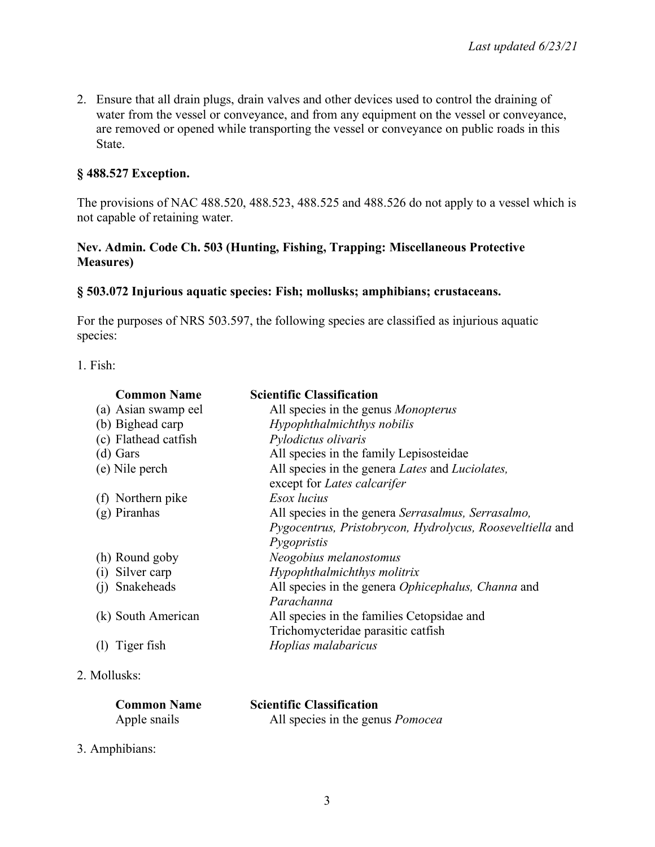2. Ensure that all drain plugs, drain valves and other devices used to control the draining of water from the vessel or conveyance, and from any equipment on the vessel or conveyance, are removed or opened while transporting the vessel or conveyance on public roads in this State.

# **§ 488.527 Exception.**

The provisions of NAC 488.520, 488.523, 488.525 and 488.526 do not apply to a vessel which is not capable of retaining water.

## **Nev. Admin. Code Ch. 503 (Hunting, Fishing, Trapping: Miscellaneous Protective Measures)**

## **§ 503.072 Injurious aquatic species: Fish; mollusks; amphibians; crustaceans.**

For the purposes of NRS 503.597, the following species are classified as injurious aquatic species:

1. Fish:

| <b>Common Name</b>   | <b>Scientific Classification</b>                                  |
|----------------------|-------------------------------------------------------------------|
| (a) Asian swamp eel  | All species in the genus <i>Monopterus</i>                        |
| (b) Bighead carp     | Hypophthalmichthys nobilis                                        |
| (c) Flathead catfish | Pylodictus olivaris                                               |
| $(d)$ Gars           | All species in the family Lepisosteidae                           |
| (e) Nile perch       | All species in the genera Lates and Luciolates,                   |
|                      | except for <i>Lates calcarifer</i>                                |
| (f) Northern pike    | Esox lucius                                                       |
| $(g)$ Piranhas       | All species in the genera Serrasalmus, Serrasalmo,                |
|                      | Pygocentrus, Pristobrycon, Hydrolycus, Rooseveltiella and         |
|                      | Pygopristis                                                       |
| (h) Round goby       | Neogobius melanostomus                                            |
| Silver carp<br>(1)   | Hypophthalmichthys molitrix                                       |
| Snakeheads<br>(i)    | All species in the genera <i>Ophicephalus</i> , <i>Channa</i> and |
|                      | Parachanna                                                        |
| (k) South American   | All species in the families Cetopsidae and                        |
|                      | Trichomycteridae parasitic catfish                                |
| Tiger fish           | Hoplias malabaricus                                               |
|                      |                                                                   |

## 2. Mollusks:

| <b>Common Name</b> | <b>Scientific Classification</b>        |
|--------------------|-----------------------------------------|
| Apple snails       | All species in the genus <i>Pomocea</i> |

3. Amphibians: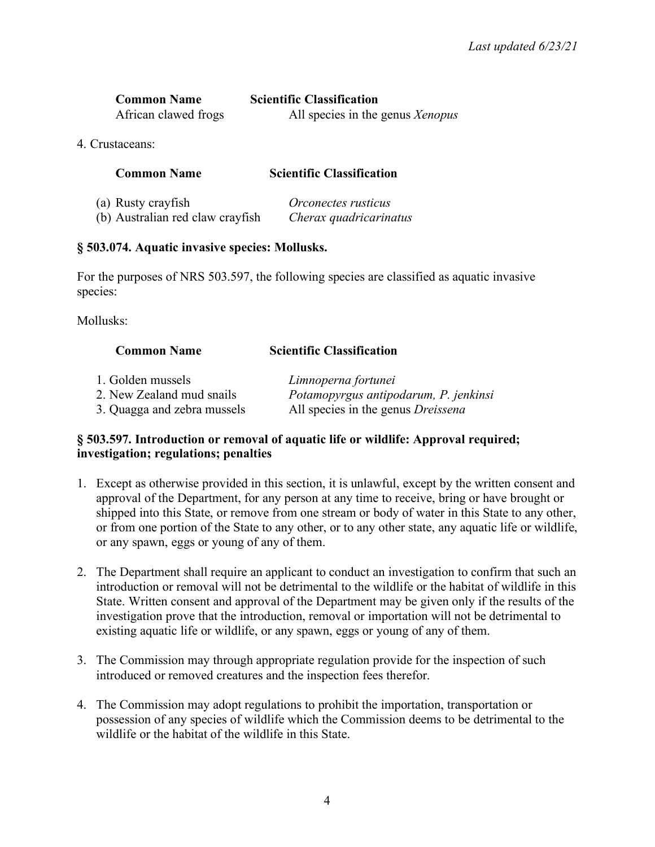| <b>Common Name</b>   | <b>Scientific Classification</b> |
|----------------------|----------------------------------|
| African clawed frogs | All species in the genus Xenopus |

4. Crustaceans:

| <b>Common Name</b>               | <b>Scientific Classification</b> |
|----------------------------------|----------------------------------|
| (a) Rusty crayfish               | Orconectes rusticus              |
| (b) Australian red claw crayfish | Cherax quadricarinatus           |

### **§ 503.074. Aquatic invasive species: Mollusks.**

For the purposes of NRS 503.597, the following species are classified as aquatic invasive species:

Mollusks:

| <b>Common Name</b>          | <b>Scientific Classification</b>          |
|-----------------------------|-------------------------------------------|
| 1. Golden mussels           | Limnoperna fortunei                       |
| 2. New Zealand mud snails   | Potamopyrgus antipodarum, P. jenkinsi     |
| 3. Quagga and zebra mussels | All species in the genus <i>Dreissena</i> |

### **§ 503.597. Introduction or removal of aquatic life or wildlife: Approval required; investigation; regulations; penalties**

- 1. Except as otherwise provided in this section, it is unlawful, except by the written consent and approval of the Department, for any person at any time to receive, bring or have brought or shipped into this State, or remove from one stream or body of water in this State to any other, or from one portion of the State to any other, or to any other state, any aquatic life or wildlife, or any spawn, eggs or young of any of them.
- 2. The Department shall require an applicant to conduct an investigation to confirm that such an introduction or removal will not be detrimental to the wildlife or the habitat of wildlife in this State. Written consent and approval of the Department may be given only if the results of the investigation prove that the introduction, removal or importation will not be detrimental to existing aquatic life or wildlife, or any spawn, eggs or young of any of them.
- 3. The Commission may through appropriate regulation provide for the inspection of such introduced or removed creatures and the inspection fees therefor.
- 4. The Commission may adopt regulations to prohibit the importation, transportation or possession of any species of wildlife which the Commission deems to be detrimental to the wildlife or the habitat of the wildlife in this State.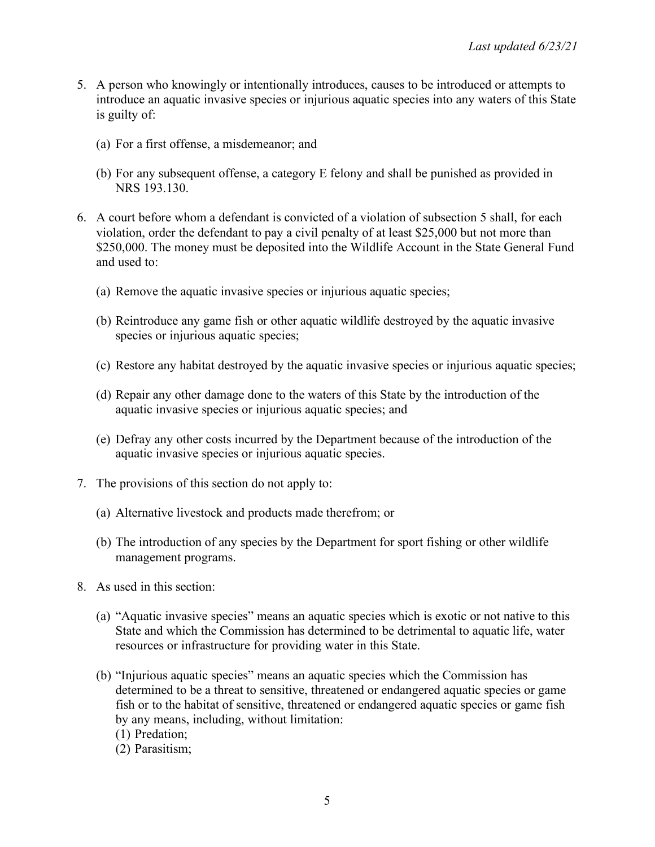- 5. A person who knowingly or intentionally introduces, causes to be introduced or attempts to introduce an aquatic invasive species or injurious aquatic species into any waters of this State is guilty of:
	- (a) For a first offense, a misdemeanor; and
	- (b) For any subsequent offense, a category E felony and shall be punished as provided in NRS 193.130.
- 6. A court before whom a defendant is convicted of a violation of subsection 5 shall, for each violation, order the defendant to pay a civil penalty of at least \$25,000 but not more than \$250,000. The money must be deposited into the Wildlife Account in the State General Fund and used to:
	- (a) Remove the aquatic invasive species or injurious aquatic species;
	- (b) Reintroduce any game fish or other aquatic wildlife destroyed by the aquatic invasive species or injurious aquatic species;
	- (c) Restore any habitat destroyed by the aquatic invasive species or injurious aquatic species;
	- (d) Repair any other damage done to the waters of this State by the introduction of the aquatic invasive species or injurious aquatic species; and
	- (e) Defray any other costs incurred by the Department because of the introduction of the aquatic invasive species or injurious aquatic species.
- 7. The provisions of this section do not apply to:
	- (a) Alternative livestock and products made therefrom; or
	- (b) The introduction of any species by the Department for sport fishing or other wildlife management programs.
- 8. As used in this section:
	- (a) "Aquatic invasive species" means an aquatic species which is exotic or not native to this State and which the Commission has determined to be detrimental to aquatic life, water resources or infrastructure for providing water in this State.
	- (b) "Injurious aquatic species" means an aquatic species which the Commission has determined to be a threat to sensitive, threatened or endangered aquatic species or game fish or to the habitat of sensitive, threatened or endangered aquatic species or game fish by any means, including, without limitation:
		- (1) Predation;
		- (2) Parasitism;